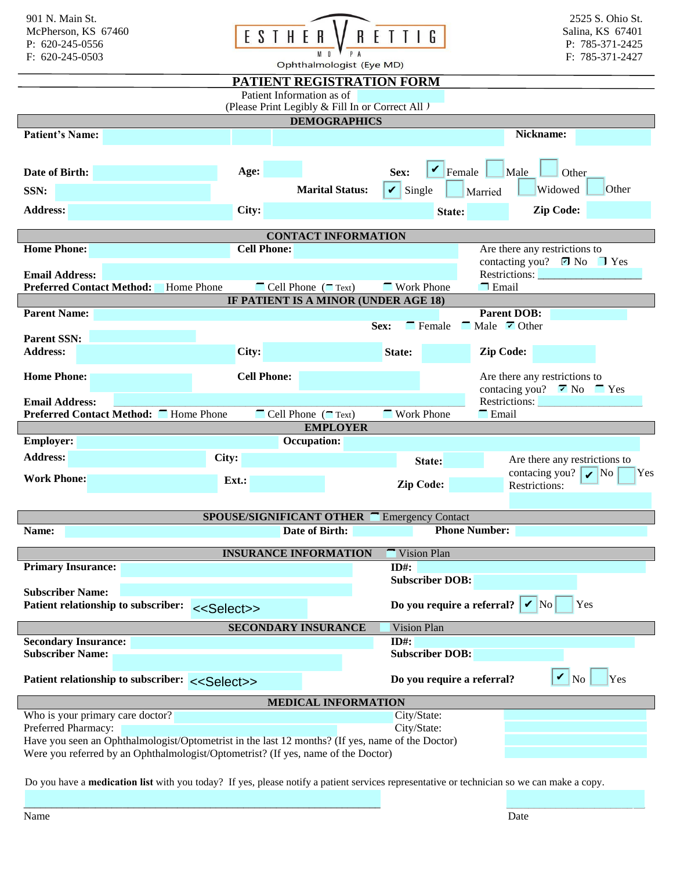| 901 N. Main St.<br>McPherson, KS 67460<br>P: $620-245-0556$<br>F: 620-245-0503                                                                                                        | ESTHER                   | Ophthalmologist (Eye MD)                                            | 2525 S. Ohio St.<br>Salina, KS 67401<br>P: 785-371-2425<br>F: 785-371-2427 |                                                   |                                                                                                        |  |  |  |
|---------------------------------------------------------------------------------------------------------------------------------------------------------------------------------------|--------------------------|---------------------------------------------------------------------|----------------------------------------------------------------------------|---------------------------------------------------|--------------------------------------------------------------------------------------------------------|--|--|--|
| PATIENT REGISTRATION FORM                                                                                                                                                             |                          |                                                                     |                                                                            |                                                   |                                                                                                        |  |  |  |
| Patient Information as of<br>(Please Print Legibly & Fill In or Correct All )                                                                                                         |                          |                                                                     |                                                                            |                                                   |                                                                                                        |  |  |  |
| <b>DEMOGRAPHICS</b>                                                                                                                                                                   |                          |                                                                     |                                                                            |                                                   |                                                                                                        |  |  |  |
| <b>Patient's Name:</b>                                                                                                                                                                |                          |                                                                     |                                                                            |                                                   | Nickname:                                                                                              |  |  |  |
|                                                                                                                                                                                       |                          |                                                                     |                                                                            |                                                   |                                                                                                        |  |  |  |
| Date of Birth:                                                                                                                                                                        | Age:                     |                                                                     | Sex:                                                                       | $\mathbf{V}$ Female                               | Male<br>Other                                                                                          |  |  |  |
| SSN:                                                                                                                                                                                  |                          | <b>Marital Status:</b>                                              | $\mathbf{\nabla}$ Single                                                   |                                                   | Widowed<br>Other<br>Married                                                                            |  |  |  |
| <b>Address:</b>                                                                                                                                                                       | City:                    |                                                                     |                                                                            | State:                                            | <b>Zip Code:</b>                                                                                       |  |  |  |
|                                                                                                                                                                                       |                          | <b>CONTACT INFORMATION</b>                                          |                                                                            |                                                   |                                                                                                        |  |  |  |
| <b>Home Phone:</b>                                                                                                                                                                    | <b>Cell Phone:</b>       |                                                                     |                                                                            |                                                   | Are there any restrictions to                                                                          |  |  |  |
|                                                                                                                                                                                       |                          |                                                                     |                                                                            |                                                   | contacting you? <b>Ø</b> No <b>I</b> Yes                                                               |  |  |  |
| <b>Email Address:</b>                                                                                                                                                                 |                          |                                                                     |                                                                            |                                                   | Restrictions:                                                                                          |  |  |  |
| <b>Preferred Contact Method:</b><br>Home Phone                                                                                                                                        |                          | $\blacksquare$ Cell Phone ( $\blacksquare$ Text)                    | <b>Work Phone</b>                                                          |                                                   | $\Box$ Email                                                                                           |  |  |  |
| <b>Parent Name:</b>                                                                                                                                                                   |                          | IF PATIENT IS A MINOR (UNDER AGE 18)                                |                                                                            |                                                   | <b>Parent DOB:</b>                                                                                     |  |  |  |
|                                                                                                                                                                                       |                          |                                                                     | Sex:                                                                       | $\blacksquare$ Female                             | $\blacksquare$ Male $\blacksquare$ Other                                                               |  |  |  |
| <b>Parent SSN:</b>                                                                                                                                                                    |                          |                                                                     |                                                                            |                                                   |                                                                                                        |  |  |  |
| <b>Address:</b>                                                                                                                                                                       | City:                    |                                                                     | State:                                                                     |                                                   | Zip Code:                                                                                              |  |  |  |
| <b>Home Phone:</b>                                                                                                                                                                    | <b>Cell Phone:</b>       |                                                                     |                                                                            |                                                   | Are there any restrictions to<br>contacing you? $\overline{\mathbf{z}}$ No $\overline{\mathbf{z}}$ Yes |  |  |  |
| <b>Email Address:</b>                                                                                                                                                                 |                          |                                                                     |                                                                            |                                                   |                                                                                                        |  |  |  |
| Preferred Contact Method: I Home Phone                                                                                                                                                |                          | $\blacksquare$ Cell Phone ( $\blacksquare$ Text)<br><b>EMPLOYER</b> | <b>Work Phone</b>                                                          |                                                   | <b>E</b> mail                                                                                          |  |  |  |
| <b>Employer:</b>                                                                                                                                                                      |                          | Occupation:                                                         |                                                                            |                                                   |                                                                                                        |  |  |  |
| <b>Address:</b>                                                                                                                                                                       | City:                    |                                                                     |                                                                            |                                                   | Are there any restrictions to                                                                          |  |  |  |
| <b>Work Phone:</b>                                                                                                                                                                    |                          |                                                                     |                                                                            | State:                                            | contacing you? $\mathbf{\triangledown}$ No<br>Yes                                                      |  |  |  |
|                                                                                                                                                                                       | Ext.:                    |                                                                     | <b>Zip Code:</b>                                                           |                                                   | Restrictions:                                                                                          |  |  |  |
|                                                                                                                                                                                       | SPOUSE/SIGNIFICANT OTHER |                                                                     |                                                                            | <b>Emergency Contact</b>                          |                                                                                                        |  |  |  |
| Name:                                                                                                                                                                                 |                          | Date of Birth:                                                      |                                                                            | <b>Phone Number:</b>                              |                                                                                                        |  |  |  |
|                                                                                                                                                                                       |                          |                                                                     |                                                                            |                                                   |                                                                                                        |  |  |  |
| <b>Primary Insurance:</b>                                                                                                                                                             |                          | <b>INSURANCE INFORMATION</b>                                        | $ID#$ :                                                                    | Vision Plan                                       |                                                                                                        |  |  |  |
|                                                                                                                                                                                       |                          |                                                                     |                                                                            | <b>Subscriber DOB:</b>                            |                                                                                                        |  |  |  |
| <b>Subscriber Name:</b>                                                                                                                                                               |                          |                                                                     |                                                                            |                                                   |                                                                                                        |  |  |  |
| Patient relationship to subscriber:<br>< <select>&gt;</select>                                                                                                                        |                          |                                                                     |                                                                            | Do you require a referral? $\mathbf{V}$ No<br>Yes |                                                                                                        |  |  |  |
| <b>SECONDARY INSURANCE</b><br>Vision Plan                                                                                                                                             |                          |                                                                     |                                                                            |                                                   |                                                                                                        |  |  |  |
| <b>Secondary Insurance:</b>                                                                                                                                                           |                          |                                                                     | $ID#$ :<br><b>Subscriber DOB:</b>                                          |                                                   |                                                                                                        |  |  |  |
| <b>Subscriber Name:</b>                                                                                                                                                               |                          |                                                                     |                                                                            |                                                   |                                                                                                        |  |  |  |
| $\mathbf{v}$<br>Yes<br>Patient relationship to subscriber: < <select>&gt;<br/>Do you require a referral?<br/>N<sub>o</sub></select>                                                   |                          |                                                                     |                                                                            |                                                   |                                                                                                        |  |  |  |
| <b>MEDICAL INFORMATION</b>                                                                                                                                                            |                          |                                                                     |                                                                            |                                                   |                                                                                                        |  |  |  |
| Who is your primary care doctor?                                                                                                                                                      |                          |                                                                     | City/State:                                                                |                                                   |                                                                                                        |  |  |  |
| Preferred Pharmacy:                                                                                                                                                                   |                          |                                                                     | City/State:                                                                |                                                   |                                                                                                        |  |  |  |
| Have you seen an Ophthalmologist/Optometrist in the last 12 months? (If yes, name of the Doctor)<br>Were you referred by an Ophthalmologist/Optometrist? (If yes, name of the Doctor) |                          |                                                                     |                                                                            |                                                   |                                                                                                        |  |  |  |
|                                                                                                                                                                                       |                          |                                                                     |                                                                            |                                                   |                                                                                                        |  |  |  |

Do you have a **medication list** with you today? If yes, please notify a patient services representative or technician so we can make a copy.

\_\_\_\_\_\_\_\_\_\_\_\_\_\_\_\_\_\_\_\_\_\_\_\_\_\_\_\_\_\_\_\_\_\_\_\_\_\_\_\_\_\_\_\_\_\_\_\_\_\_\_\_\_\_\_\_\_\_\_\_\_\_\_\_\_ \_\_\_\_\_\_\_\_\_\_\_\_\_\_\_\_\_\_\_\_\_\_\_\_\_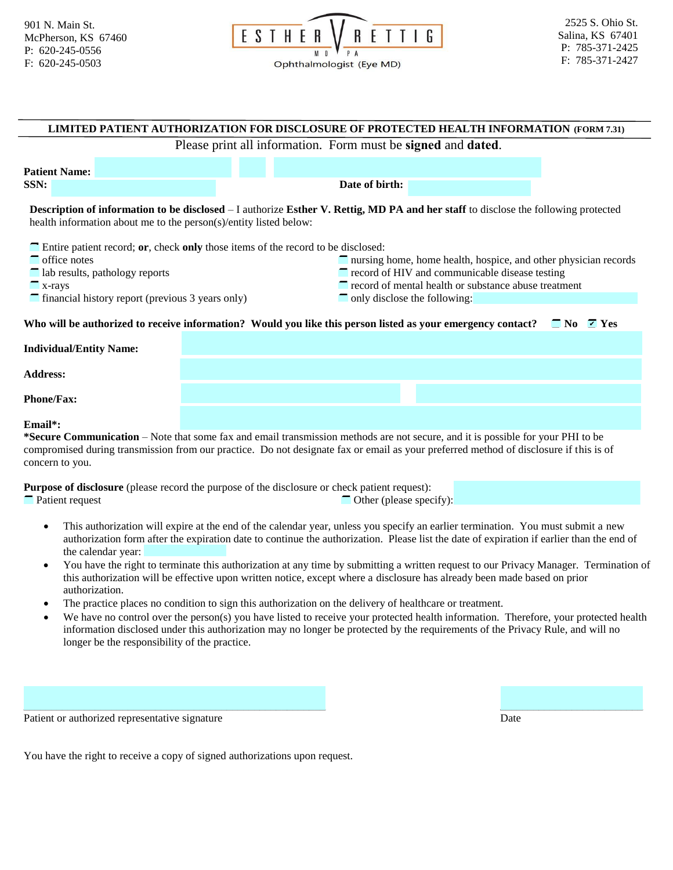

| LIMITED PATIENT AUTHORIZATION FOR DISCLOSURE OF PROTECTED HEALTH INFORMATION (FORM 7.31)                                                                                                                                                                                                    |  |                                                                                                                                                                                                                                 |  |  |  |  |
|---------------------------------------------------------------------------------------------------------------------------------------------------------------------------------------------------------------------------------------------------------------------------------------------|--|---------------------------------------------------------------------------------------------------------------------------------------------------------------------------------------------------------------------------------|--|--|--|--|
| Please print all information. Form must be signed and dated.                                                                                                                                                                                                                                |  |                                                                                                                                                                                                                                 |  |  |  |  |
| <b>Patient Name:</b>                                                                                                                                                                                                                                                                        |  |                                                                                                                                                                                                                                 |  |  |  |  |
| SSN:                                                                                                                                                                                                                                                                                        |  | Date of birth:                                                                                                                                                                                                                  |  |  |  |  |
| <b>Description of information to be disclosed</b> – I authorize Esther V. Rettig, MD PA and her staff to disclose the following protected<br>health information about me to the person(s)/entity listed below:                                                                              |  |                                                                                                                                                                                                                                 |  |  |  |  |
| $\blacksquare$ Entire patient record; or, check only those items of the record to be disclosed:<br>$\blacksquare$ office notes<br>$\blacksquare$ lab results, pathology reports<br>$\mathbf{x}$ -rays<br>$\Box$ financial history report (previous 3 years only)                            |  | nursing home, home health, hospice, and other physician records<br>$\blacksquare$ record of HIV and communicable disease testing<br>record of mental health or substance abuse treatment<br>$\Box$ only disclose the following: |  |  |  |  |
| Who will be authorized to receive information? Would you like this person listed as your emergency contact?<br>$\Box$ No $\Box$ Yes                                                                                                                                                         |  |                                                                                                                                                                                                                                 |  |  |  |  |
| <b>Individual/Entity Name:</b>                                                                                                                                                                                                                                                              |  |                                                                                                                                                                                                                                 |  |  |  |  |
| <b>Address:</b>                                                                                                                                                                                                                                                                             |  |                                                                                                                                                                                                                                 |  |  |  |  |
| <b>Phone/Fax:</b>                                                                                                                                                                                                                                                                           |  |                                                                                                                                                                                                                                 |  |  |  |  |
| Email*:                                                                                                                                                                                                                                                                                     |  |                                                                                                                                                                                                                                 |  |  |  |  |
| *Secure Communication – Note that some fax and email transmission methods are not secure, and it is possible for your PHI to be<br>compromised during transmission from our practice. Do not designate fax or email as your preferred method of disclosure if this is of<br>concern to you. |  |                                                                                                                                                                                                                                 |  |  |  |  |
| <b>Purpose of disclosure</b> (please record the purpose of the disclosure or check patient request):                                                                                                                                                                                        |  |                                                                                                                                                                                                                                 |  |  |  |  |

■ Patient request **Other (please specify):** ● Other (please specify):

- This authorization will expire at the end of the calendar year, unless you specify an earlier termination. You must submit a new authorization form after the expiration date to continue the authorization. Please list the date of expiration if earlier than the end of the calendar year:
- You have the right to terminate this authorization at any time by submitting a written request to our Privacy Manager. Termination of this authorization will be effective upon written notice, except where a disclosure has already been made based on prior authorization.
- The practice places no condition to sign this authorization on the delivery of healthcare or treatment.
- We have no control over the person(s) you have listed to receive your protected health information. Therefore, your protected health information disclosed under this authorization may no longer be protected by the requirements of the Privacy Rule, and will no longer be the responsibility of the practice.

| Patien.<br>ាgnature<br>⊾hor•<br>17.ec<br>ren1<br>sentative<br>an<br>51 H.<br>. | Date<br>. |
|--------------------------------------------------------------------------------|-----------|

You have the right to receive a copy of signed authorizations upon request.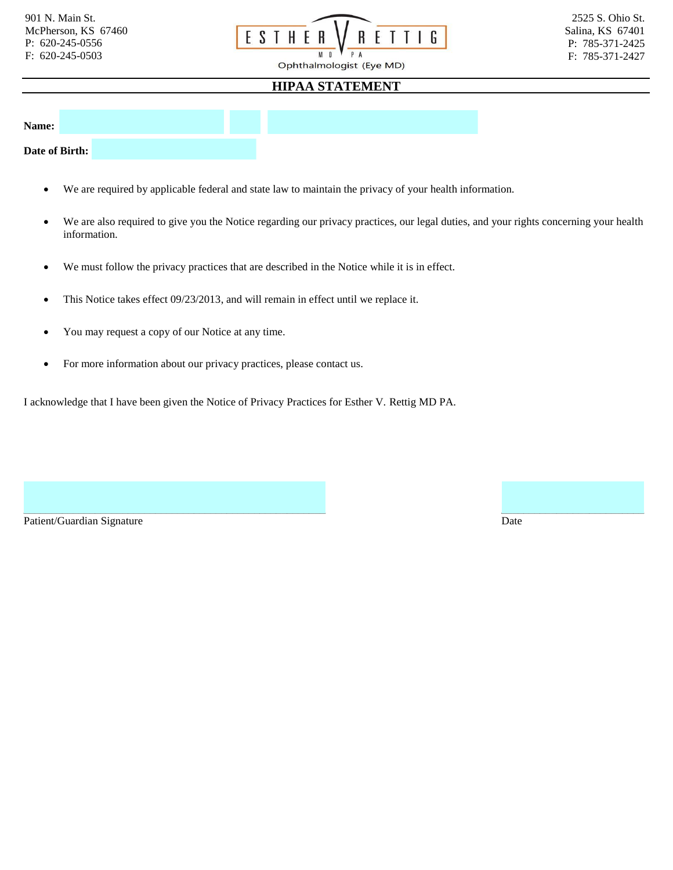

## **HIPAA STATEMENT**

**Name:** 

**Date of Birth:** 

- We are required by applicable federal and state law to maintain the privacy of your health information.
- We are also required to give you the Notice regarding our privacy practices, our legal duties, and your rights concerning your health information.

 $\_$  , and the contribution of the contribution of the contribution of the contribution of the contribution of  $\mathcal{L}$ 

- We must follow the privacy practices that are described in the Notice while it is in effect.
- This Notice takes effect 09/23/2013, and will remain in effect until we replace it.
- You may request a copy of our Notice at any time.
- For more information about our privacy practices, please contact us.

I acknowledge that I have been given the Notice of Privacy Practices for Esther V. Rettig MD PA.

Patient/Guardian Signature Date Date of the United States of the Date Date Date Date Date